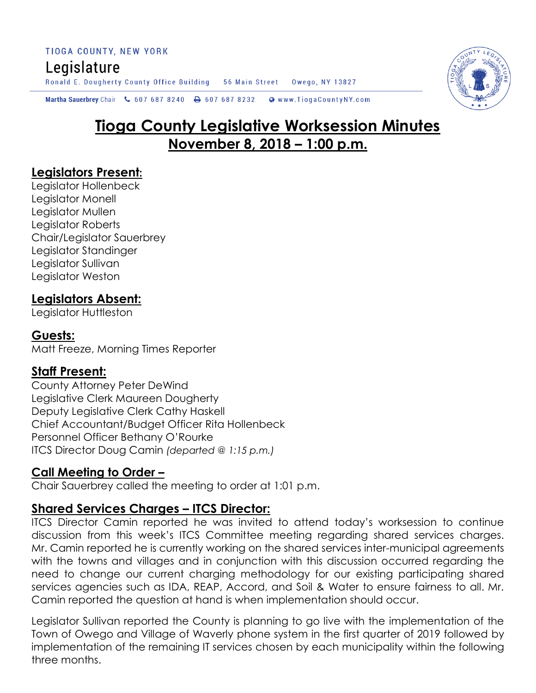TIOGA COUNTY, NEW YORK Legislature Ronald E. Dougherty County Office Building 56 Main Street Owego, NY 13827

Martha Sauerbrey Chair & 607 687 8240 & 607 687 8232 Www.TiogaCountyNY.com

# **Tioga County Legislative Worksession Minutes November 8, 2018 – 1:00 p.m.**

#### **Legislators Present:**

Legislator Hollenbeck Legislator Monell Legislator Mullen Legislator Roberts Chair/Legislator Sauerbrey Legislator Standinger Legislator Sullivan Legislator Weston

# **Legislators Absent:**

Legislator Huttleston

### **Guests:**

Matt Freeze, Morning Times Reporter

#### **Staff Present:**

County Attorney Peter DeWind Legislative Clerk Maureen Dougherty Deputy Legislative Clerk Cathy Haskell Chief Accountant/Budget Officer Rita Hollenbeck Personnel Officer Bethany O'Rourke ITCS Director Doug Camin *(departed @ 1:15 p.m.)*

# **Call Meeting to Order –**

Chair Sauerbrey called the meeting to order at 1:01 p.m.

# **Shared Services Charges – ITCS Director:**

ITCS Director Camin reported he was invited to attend today's worksession to continue discussion from this week's ITCS Committee meeting regarding shared services charges. Mr. Camin reported he is currently working on the shared services inter-municipal agreements with the towns and villages and in conjunction with this discussion occurred regarding the need to change our current charging methodology for our existing participating shared services agencies such as IDA, REAP, Accord, and Soil & Water to ensure fairness to all. Mr. Camin reported the question at hand is when implementation should occur.

Legislator Sullivan reported the County is planning to go live with the implementation of the Town of Owego and Village of Waverly phone system in the first quarter of 2019 followed by implementation of the remaining IT services chosen by each municipality within the following three months.

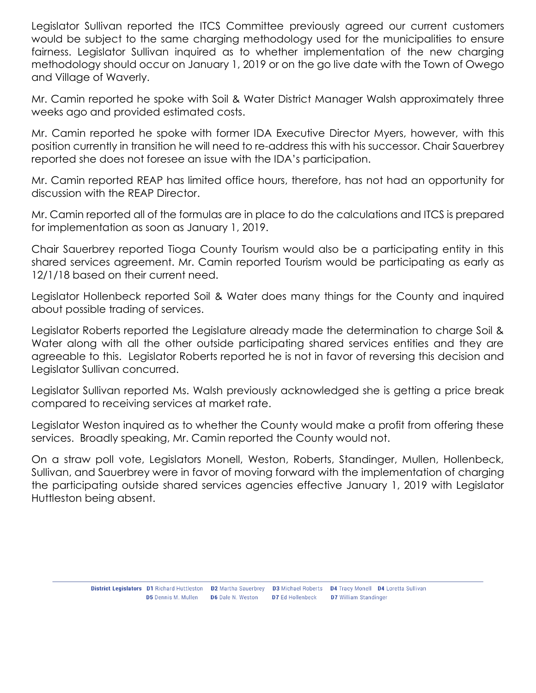Legislator Sullivan reported the ITCS Committee previously agreed our current customers would be subject to the same charging methodology used for the municipalities to ensure fairness. Legislator Sullivan inquired as to whether implementation of the new charging methodology should occur on January 1, 2019 or on the go live date with the Town of Owego and Village of Waverly.

Mr. Camin reported he spoke with Soil & Water District Manager Walsh approximately three weeks ago and provided estimated costs.

Mr. Camin reported he spoke with former IDA Executive Director Myers, however, with this position currently in transition he will need to re-address this with his successor. Chair Sauerbrey reported she does not foresee an issue with the IDA's participation.

Mr. Camin reported REAP has limited office hours, therefore, has not had an opportunity for discussion with the REAP Director.

Mr. Camin reported all of the formulas are in place to do the calculations and ITCS is prepared for implementation as soon as January 1, 2019.

Chair Sauerbrey reported Tioga County Tourism would also be a participating entity in this shared services agreement. Mr. Camin reported Tourism would be participating as early as 12/1/18 based on their current need.

Legislator Hollenbeck reported Soil & Water does many things for the County and inquired about possible trading of services.

Legislator Roberts reported the Legislature already made the determination to charge Soil & Water along with all the other outside participating shared services entities and they are agreeable to this. Legislator Roberts reported he is not in favor of reversing this decision and Legislator Sullivan concurred.

Legislator Sullivan reported Ms. Walsh previously acknowledged she is getting a price break compared to receiving services at market rate.

Legislator Weston inquired as to whether the County would make a profit from offering these services. Broadly speaking, Mr. Camin reported the County would not.

On a straw poll vote, Legislators Monell, Weston, Roberts, Standinger, Mullen, Hollenbeck, Sullivan, and Sauerbrey were in favor of moving forward with the implementation of charging the participating outside shared services agencies effective January 1, 2019 with Legislator Huttleston being absent.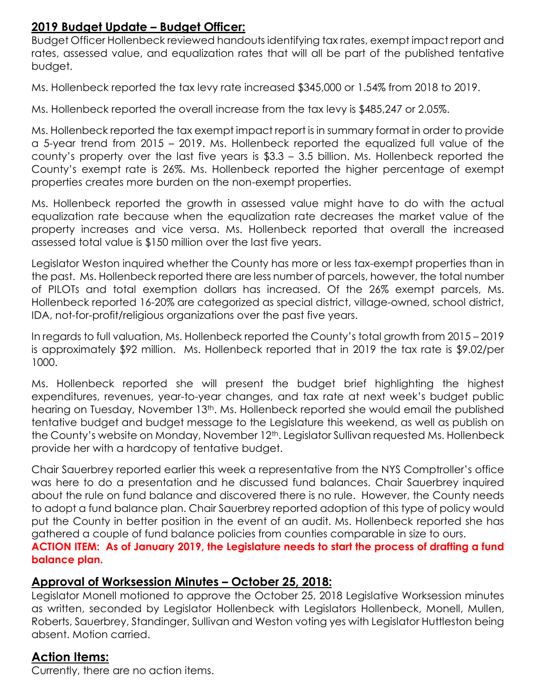### **2019 Budget Update – Budget Officer:**

Budget Officer Hollenbeck reviewed handouts identifying tax rates, exempt impact report and rates, assessed value, and equalization rates that will all be part of the published tentative budget.

Ms. Hollenbeck reported the tax levy rate increased \$345,000 or 1.54% from 2018 to 2019.

Ms. Hollenbeck reported the overall increase from the tax levy is \$485,247 or 2.05%.

Ms. Hollenbeck reported the tax exempt impact report is in summary format in order to provide a 5-year trend from 2015 – 2019. Ms. Hollenbeck reported the equalized full value of the county's property over the last five years is \$3.3 – 3.5 billion. Ms. Hollenbeck reported the County's exempt rate is 26%. Ms. Hollenbeck reported the higher percentage of exempt properties creates more burden on the non-exempt properties.

Ms. Hollenbeck reported the growth in assessed value might have to do with the actual equalization rate because when the equalization rate decreases the market value of the property increases and vice versa. Ms. Hollenbeck reported that overall the increased assessed total value is \$150 million over the last five years.

Legislator Weston inquired whether the County has more or less tax-exempt properties than in the past. Ms. Hollenbeck reported there are less number of parcels, however, the total number of PILOTs and total exemption dollars has increased. Of the 26% exempt parcels, Ms. Hollenbeck reported 16-20% are categorized as special district, village-owned, school district, IDA, not-for-profit/religious organizations over the past five years.

In regards to full valuation, Ms. Hollenbeck reported the County's total growth from 2015 – 2019 is approximately \$92 million. Ms. Hollenbeck reported that in 2019 the tax rate is \$9.02/per 1000.

Ms. Hollenbeck reported she will present the budget brief highlighting the highest expenditures, revenues, year-to-year changes, and tax rate at next week's budget public hearing on Tuesday, November 13<sup>th</sup>. Ms. Hollenbeck reported she would email the published tentative budget and budget message to the Legislature this weekend, as well as publish on the County's website on Monday, November 12<sup>th</sup>. Legislator Sullivan requested Ms. Hollenbeck provide her with a hardcopy of tentative budget.

Chair Sauerbrey reported earlier this week a representative from the NYS Comptroller's office was here to do a presentation and he discussed fund balances. Chair Sauerbrey inquired about the rule on fund balance and discovered there is no rule. However, the County needs to adopt a fund balance plan. Chair Sauerbrey reported adoption of this type of policy would put the County in better position in the event of an audit. Ms. Hollenbeck reported she has gathered a couple of fund balance policies from counties comparable in size to ours. **ACTION ITEM: As of January 2019, the Legislature needs to start the process of drafting a fund** 

**balance plan.** 

# **Approval of Worksession Minutes – October 25, 2018:**

Legislator Monell motioned to approve the October 25, 2018 Legislative Worksession minutes as written, seconded by Legislator Hollenbeck with Legislators Hollenbeck, Monell, Mullen, Roberts, Sauerbrey, Standinger, Sullivan and Weston voting yes with Legislator Huttleston being absent. Motion carried.

# **Action Items:**

Currently, there are no action items.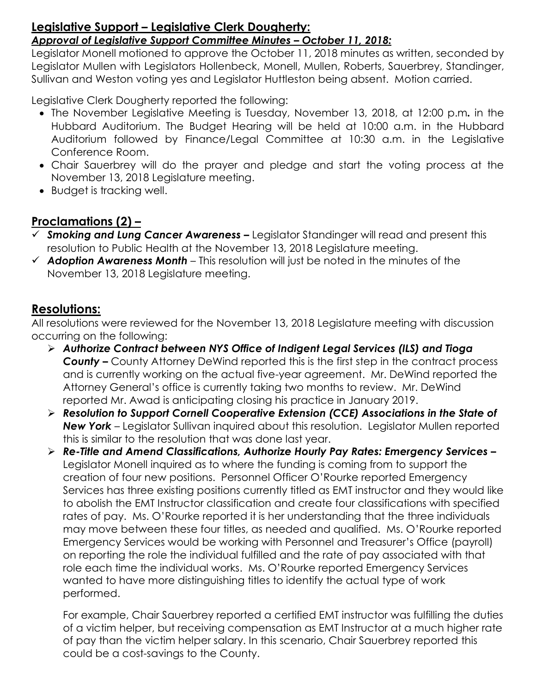#### **Legislative Support – Legislative Clerk Dougherty:**  *Approval of Legislative Support Committee Minutes – October 11, 2018:*

Legislator Monell motioned to approve the October 11, 2018 minutes as written, seconded by Legislator Mullen with Legislators Hollenbeck, Monell, Mullen, Roberts, Sauerbrey, Standinger, Sullivan and Weston voting yes and Legislator Huttleston being absent. Motion carried.

Legislative Clerk Dougherty reported the following:

- The November Legislative Meeting is Tuesday, November 13, 2018, at 12:00 p.m*.* in the Hubbard Auditorium. The Budget Hearing will be held at 10:00 a.m. in the Hubbard Auditorium followed by Finance/Legal Committee at 10:30 a.m. in the Legislative Conference Room.
- Chair Sauerbrey will do the prayer and pledge and start the voting process at the November 13, 2018 Legislature meeting.
- Budget is tracking well.

# **Proclamations (2) –**

- *Smoking and Lung Cancer Awareness –* Legislator Standinger will read and present this resolution to Public Health at the November 13, 2018 Legislature meeting.
- *Adoption Awareness Month* This resolution will just be noted in the minutes of the November 13, 2018 Legislature meeting.

# **Resolutions:**

All resolutions were reviewed for the November 13, 2018 Legislature meeting with discussion occurring on the following:

- *Authorize Contract between NYS Office of Indigent Legal Services (ILS) and Tioga County –* County Attorney DeWind reported this is the first step in the contract process and is currently working on the actual five-year agreement. Mr. DeWind reported the Attorney General's office is currently taking two months to review. Mr. DeWind reported Mr. Awad is anticipating closing his practice in January 2019.
- *Resolution to Support Cornell Cooperative Extension (CCE) Associations in the State of New York* – Legislator Sullivan inquired about this resolution. Legislator Mullen reported this is similar to the resolution that was done last year.
- *Re-Title and Amend Classifications, Authorize Hourly Pay Rates: Emergency Services –* Legislator Monell inquired as to where the funding is coming from to support the creation of four new positions. Personnel Officer O'Rourke reported Emergency Services has three existing positions currently titled as EMT instructor and they would like to abolish the EMT Instructor classification and create four classifications with specified rates of pay. Ms. O'Rourke reported it is her understanding that the three individuals may move between these four titles, as needed and qualified. Ms. O'Rourke reported Emergency Services would be working with Personnel and Treasurer's Office (payroll) on reporting the role the individual fulfilled and the rate of pay associated with that role each time the individual works. Ms. O'Rourke reported Emergency Services wanted to have more distinguishing titles to identify the actual type of work performed.

For example, Chair Sauerbrey reported a certified EMT instructor was fulfilling the duties of a victim helper, but receiving compensation as EMT Instructor at a much higher rate of pay than the victim helper salary. In this scenario, Chair Sauerbrey reported this could be a cost-savings to the County.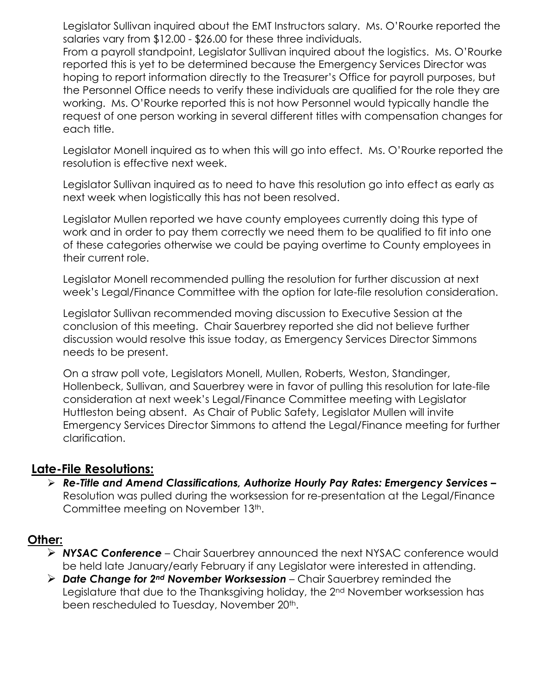Legislator Sullivan inquired about the EMT Instructors salary. Ms. O'Rourke reported the salaries vary from \$12.00 - \$26.00 for these three individuals.

From a payroll standpoint, Legislator Sullivan inquired about the logistics. Ms. O'Rourke reported this is yet to be determined because the Emergency Services Director was hoping to report information directly to the Treasurer's Office for payroll purposes, but the Personnel Office needs to verify these individuals are qualified for the role they are working. Ms. O'Rourke reported this is not how Personnel would typically handle the request of one person working in several different titles with compensation changes for each title.

Legislator Monell inquired as to when this will go into effect. Ms. O'Rourke reported the resolution is effective next week.

Legislator Sullivan inquired as to need to have this resolution go into effect as early as next week when logistically this has not been resolved.

Legislator Mullen reported we have county employees currently doing this type of work and in order to pay them correctly we need them to be qualified to fit into one of these categories otherwise we could be paying overtime to County employees in their current role.

Legislator Monell recommended pulling the resolution for further discussion at next week's Legal/Finance Committee with the option for late-file resolution consideration.

Legislator Sullivan recommended moving discussion to Executive Session at the conclusion of this meeting. Chair Sauerbrey reported she did not believe further discussion would resolve this issue today, as Emergency Services Director Simmons needs to be present.

On a straw poll vote, Legislators Monell, Mullen, Roberts, Weston, Standinger, Hollenbeck, Sullivan, and Sauerbrey were in favor of pulling this resolution for late-file consideration at next week's Legal/Finance Committee meeting with Legislator Huttleston being absent. As Chair of Public Safety, Legislator Mullen will invite Emergency Services Director Simmons to attend the Legal/Finance meeting for further clarification.

#### **Late-File Resolutions:**

 *Re-Title and Amend Classifications, Authorize Hourly Pay Rates: Emergency Services –* Resolution was pulled during the worksession for re-presentation at the Legal/Finance Committee meeting on November 13th.

#### **Other:**

- *NYSAC Conference* Chair Sauerbrey announced the next NYSAC conference would be held late January/early February if any Legislator were interested in attending.
- *Date Change for 2nd November Worksession* Chair Sauerbrey reminded the Legislature that due to the Thanksgiving holiday, the 2nd November worksession has been rescheduled to Tuesday, November 20<sup>th</sup>.